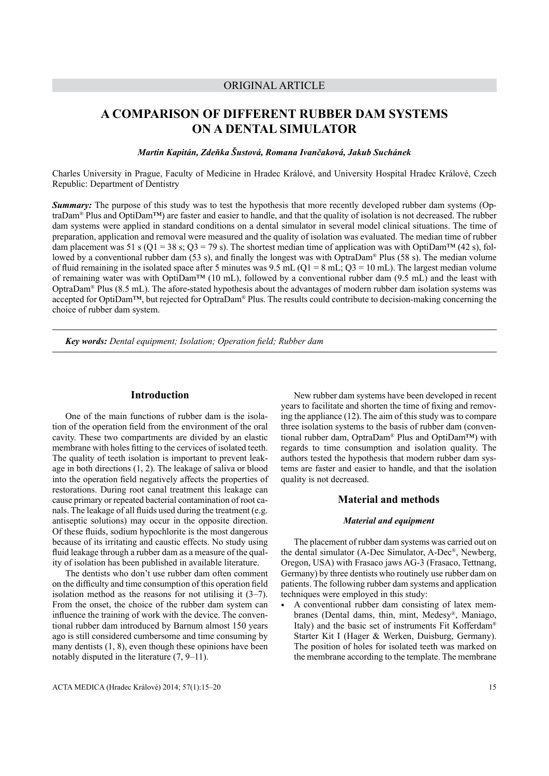# ORIGINAL ARTICLE

# **A COMPARISON OF DIFFERENT RUBBER DAM SYSTEMS ON A DENTAL SIMULATOR**

*Martin Kapitán, Zdeňka Šustová, Romana Ivančaková, Jakub Suchánek*

Charles University in Prague, Faculty of Medicine in Hradec Králové, and University Hospital Hradec Králové, Czech Republic: Department of Dentistry

*Summary:* The purpose of this study was to test the hypothesis that more recently developed rubber dam systems (OptraDam® Plus and OptiDam™) are faster and easier to handle, and that the quality of isolation is not decreased. The rubber dam systems were applied in standard conditions on a dental simulator in several model clinical situations. The time of preparation, application and removal were measured and the quality of isolation was evaluated. The median time of rubber dam placement was 51 s (Q1 = 38 s; Q3 = 79 s). The shortest median time of application was with OptiDam<sup>TM</sup> (42 s), followed by a conventional rubber dam (53 s), and finally the longest was with OptraDam® Plus (58 s). The median volume of fluid remaining in the isolated space after 5 minutes was  $9.5$  mL (Q1 = 8 mL; Q3 = 10 mL). The largest median volume of remaining water was with OptiDam<sup>™</sup> (10 mL), followed by a conventional rubber dam (9.5 mL) and the least with OptraDam® Plus (8.5 mL). The afore-stated hypothesis about the advantages of modern rubber dam isolation systems was accepted for OptiDam™, but rejected for OptraDam® Plus. The results could contribute to decision-making concerning the choice of rubber dam system.

*Key words: Dental equipment; Isolation; Operation field; Rubber dam*

# **Introduction**

One of the main functions of rubber dam is the isolation of the operation field from the environment of the oral cavity. These two compartments are divided by an elastic membrane with holes fitting to the cervices of isolated teeth. The quality of teeth isolation is important to prevent leakage in both directions (1, 2). The leakage of saliva or blood into the operation field negatively affects the properties of restorations. During root canal treatment this leakage can cause primary or repeated bacterial contamination of root canals. The leakage of all fluids used during the treatment (e.g. antiseptic solutions) may occur in the opposite direction. Of these fluids, sodium hypochlorite is the most dangerous because of its irritating and caustic effects. No study using fluid leakage through a rubber dam as a measure of the quality of isolation has been published in available literature.

The dentists who don't use rubber dam often comment on the difficulty and time consumption of this operation field isolation method as the reasons for not utilising it (3–7). From the onset, the choice of the rubber dam system can influence the training of work with the device. The conventional rubber dam introduced by Barnum almost 150 years ago is still considered cumbersome and time consuming by many dentists  $(1, 8)$ , even though these opinions have been notably disputed in the literature (7, 9–11).

New rubber dam systems have been developed in recent years to facilitate and shorten the time of fixing and removing the appliance (12). The aim of this study was to compare three isolation systems to the basis of rubber dam (conventional rubber dam, OptraDam® Plus and OptiDam™) with regards to time consumption and isolation quality. The authors tested the hypothesis that modern rubber dam systems are faster and easier to handle, and that the isolation quality is not decreased.

# **Material and methods**

#### *Material and equipment*

The placement of rubber dam systems was carried out on the dental simulator (A-Dec Simulator, A-Dec®, Newberg, Oregon, USA) with Frasaco jaws AG-3 (Frasaco, Tettnang, Germany) by three dentists who routinely use rubber dam on patients. The following rubber dam systems and application techniques were employed in this study:

• A conventional rubber dam consisting of latex membranes (Dental dams, thin, mint, Medesy®, Maniago, Italy) and the basic set of instruments Fit Kofferdam® Starter Kit I (Hager & Werken, Duisburg, Germany). The position of holes for isolated teeth was marked on the membrane according to the template. The membrane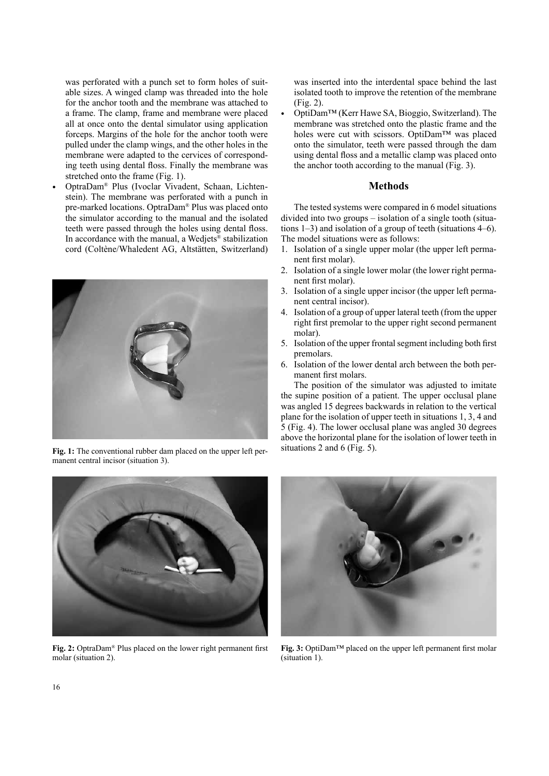was perforated with a punch set to form holes of suitable sizes. A winged clamp was threaded into the hole for the anchor tooth and the membrane was attached to a frame. The clamp, frame and membrane were placed all at once onto the dental simulator using application forceps. Margins of the hole for the anchor tooth were pulled under the clamp wings, and the other holes in the membrane were adapted to the cervices of corresponding teeth using dental floss. Finally the membrane was stretched onto the frame (Fig. 1).

• OptraDam® Plus (Ivoclar Vivadent, Schaan, Lichtenstein). The membrane was perforated with a punch in pre-marked locations. OptraDam® Plus was placed onto the simulator according to the manual and the isolated teeth were passed through the holes using dental floss. In accordance with the manual, a Wedjets<sup>®</sup> stabilization cord (Coltène/Whaledent AG, Altstätten, Switzerland)



**Fig. 1:** The conventional rubber dam placed on the upper left permanent central incisor (situation 3).



**Fig. 2:** OptraDam® Plus placed on the lower right permanent first molar (situation 2).

was inserted into the interdental space behind the last isolated tooth to improve the retention of the membrane (Fig. 2).

• OptiDam™ (Kerr Hawe SA, Bioggio, Switzerland). The membrane was stretched onto the plastic frame and the holes were cut with scissors. OptiDam™ was placed onto the simulator, teeth were passed through the dam using dental floss and a metallic clamp was placed onto the anchor tooth according to the manual (Fig. 3).

## **Methods**

The tested systems were compared in 6 model situations divided into two groups – isolation of a single tooth (situations 1–3) and isolation of a group of teeth (situations 4–6). The model situations were as follows:

- 1. Isolation of a single upper molar (the upper left permanent first molar).
- 2. Isolation of a single lower molar (the lower right permanent first molar).
- 3. Isolation of a single upper incisor (the upper left permanent central incisor).
- 4. Isolation of a group of upper lateral teeth (from the upper right first premolar to the upper right second permanent molar).
- 5. Isolation of the upper frontal segment including both first premolars.
- 6. Isolation of the lower dental arch between the both permanent first molars.

The position of the simulator was adjusted to imitate the supine position of a patient. The upper occlusal plane was angled 15 degrees backwards in relation to the vertical plane for the isolation of upper teeth in situations 1, 3, 4 and 5 (Fig. 4). The lower occlusal plane was angled 30 degrees above the horizontal plane for the isolation of lower teeth in situations 2 and 6 (Fig. 5).



**Fig. 3:** OptiDam™ placed on the upper left permanent first molar (situation 1).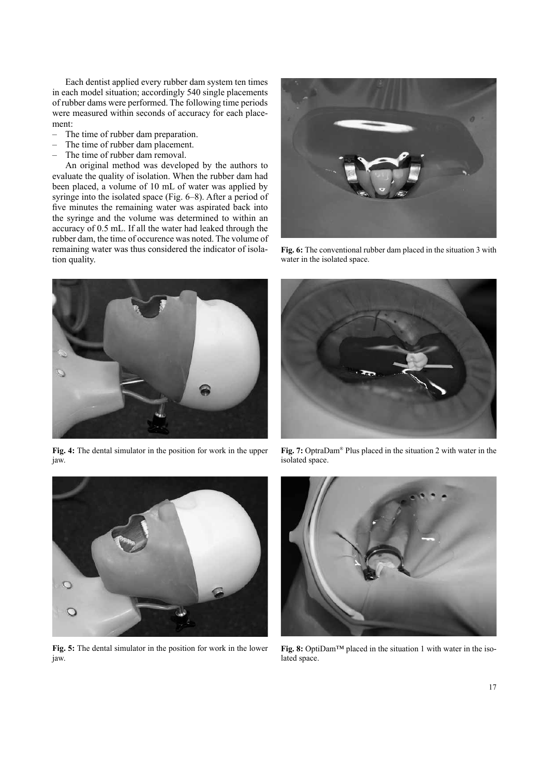Each dentist applied every rubber dam system ten times in each model situation; accordingly 540 single placements of rubber dams were performed. The following time periods were measured within seconds of accuracy for each placement:

- The time of rubber dam preparation.
- The time of rubber dam placement.
- The time of rubber dam removal.

An original method was developed by the authors to evaluate the quality of isolation. When the rubber dam had been placed, a volume of 10 mL of water was applied by syringe into the isolated space (Fig. 6–8). After a period of five minutes the remaining water was aspirated back into the syringe and the volume was determined to within an accuracy of 0.5 mL. If all the water had leaked through the rubber dam, the time of occurence was noted. The volume of remaining water was thus considered the indicator of isolation quality.



**Fig. 6:** The conventional rubber dam placed in the situation 3 with water in the isolated space.



**Fig. 4:** The dental simulator in the position for work in the upper jaw.



**Fig. 5:** The dental simulator in the position for work in the lower jaw.



**Fig. 7:** OptraDam® Plus placed in the situation 2 with water in the isolated space.



**Fig. 8:** OptiDam™ placed in the situation 1 with water in the isolated space.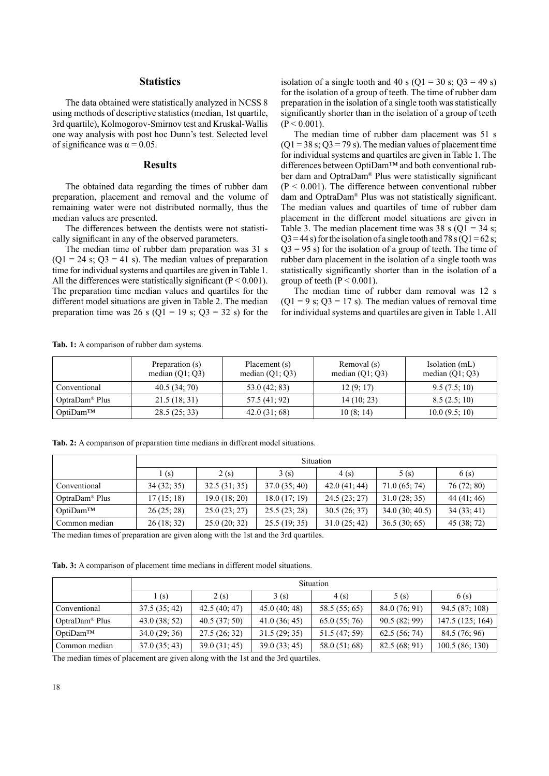# **Statistics**

The data obtained were statistically analyzed in NCSS 8 using methods of descriptive statistics (median, 1st quartile, 3rd quartile), Kolmogorov-Smirnov test and Kruskal-Wallis one way analysis with post hoc Dunn's test. Selected level of significance was  $\alpha = 0.05$ .

#### **Results**

The obtained data regarding the times of rubber dam preparation, placement and removal and the volume of remaining water were not distributed normally, thus the median values are presented.

The differences between the dentists were not statistically significant in any of the observed parameters.

The median time of rubber dam preparation was 31 s  $(Q1 = 24 \text{ s}; Q3 = 41 \text{ s})$ . The median values of preparation time for individual systems and quartiles are given in Table 1. All the differences were statistically significant ( $P < 0.001$ ). The preparation time median values and quartiles for the different model situations are given in Table 2. The median preparation time was 26 s (Q1 = 19 s; Q3 = 32 s) for the isolation of a single tooth and 40 s ( $Q1 = 30$  s;  $Q3 = 49$  s) for the isolation of a group of teeth. The time of rubber dam preparation in the isolation of a single tooth was statistically significantly shorter than in the isolation of a group of teeth  $(P < 0.001)$ .

The median time of rubber dam placement was 51 s  $(Q1 = 38 \text{ s}; Q3 = 79 \text{ s})$ . The median values of placement time for individual systems and quartiles are given in Table 1. The differences between OptiDam™ and both conventional rubber dam and OptraDam® Plus were statistically significant  $(P < 0.001)$ . The difference between conventional rubber dam and OptraDam® Plus was not statistically significant. The median values and quartiles of time of rubber dam placement in the different model situations are given in Table 3. The median placement time was  $38 \text{ s } (Q1 = 34 \text{ s};$  $Q3 = 44$  s) for the isolation of a single tooth and 78 s ( $Q1 = 62$  s;  $Q3 = 95$  s) for the isolation of a group of teeth. The time of rubber dam placement in the isolation of a single tooth was statistically significantly shorter than in the isolation of a group of teeth ( $P \le 0.001$ ).

The median time of rubber dam removal was 12 s  $(Q1 = 9 \text{ s}; Q3 = 17 \text{ s})$ . The median values of removal time for individual systems and quartiles are given in Table 1. All

> Isolation (mL) median (Q1; Q3)

|              | Preparation (s)   | Placement (s)     | Removal (s)       | Isolation (mL    |
|--------------|-------------------|-------------------|-------------------|------------------|
|              | median $(Q1; Q3)$ | median $(Q1; Q3)$ | median $(Q1; Q3)$ | median $(Q1; Q)$ |
| Conventional | 40.5(34;70)       | 53.0(42; 83)      | 12(9;17)          | 9.5(7.5;10)      |

**Tab. 1:** A comparison of rubber dam systems.

|  |  |  |  |  |  |  |  |  | Tab. 2: A comparison of preparation time medians in different model situations. |  |
|--|--|--|--|--|--|--|--|--|---------------------------------------------------------------------------------|--|
|--|--|--|--|--|--|--|--|--|---------------------------------------------------------------------------------|--|

|                            | Situation  |              |              |              |                |             |  |  |
|----------------------------|------------|--------------|--------------|--------------|----------------|-------------|--|--|
|                            | l(s)       | 2(s)         | 3(s)         | 4(s)         | 5(s)           | 6(s)        |  |  |
| Conventional               | 34(32; 35) | 32.5(31; 35) | 37.0(35; 40) | 42.0(41; 44) | 71.0(65; 74)   | 76(72; 80)  |  |  |
| OptraDam <sup>®</sup> Plus | 17(15; 18) | 19.0(18; 20) | 18.0(17; 19) | 24.5(23; 27) | 31.0(28; 35)   | 44(41; 46)  |  |  |
| $Opti$ Dam <sup>TM</sup>   | 26(25; 28) | 25.0(23; 27) | 25.5(23; 28) | 30.5(26; 37) | 34.0(30; 40.5) | 34(33; 41)  |  |  |
| Common median              | 26(18; 32) | 25.0(20; 32) | 25.5(19; 35) | 31.0(25; 42) | 36.5(30; 65)   | 45 (38; 72) |  |  |

OptraDam® Plus 21.5 (18; 31) 57.5 (41; 92) 14 (10; 23) 8.5 (2.5; 10) OptiDam<sup>TM</sup> 28.5 (25; 33) 42.0 (31; 68) 10 (8; 14) 10.0 (9.5; 10)

The median times of preparation are given along with the 1st and the 3rd quartiles.

**Tab. 3:** A comparison of placement time medians in different model situations.

|                            | Situation    |              |              |               |              |                  |  |  |
|----------------------------|--------------|--------------|--------------|---------------|--------------|------------------|--|--|
|                            | (s)          | 2(s)         | 3(s)         | 4(s)          | 5(s)         | 6(s)             |  |  |
| Conventional               | 37.5(35; 42) | 42.5(40; 47) | 45.0(40; 48) | 58.5 (55; 65) | 84.0(76; 91) | 94.5(87;108)     |  |  |
| OptraDam <sup>®</sup> Plus | 43.0(38; 52) | 40.5(37; 50) | 41.0(36; 45) | 65.0(55;76)   | 90.5(82; 99) | 147.5 (125; 164) |  |  |
| OptiDam™                   | 34.0(29; 36) | 27.5(26; 32) | 31.5(29; 35) | 51.5 (47; 59) | 62.5(56; 74) | 84.5(76;96)      |  |  |
| Common median              | 37.0(35; 43) | 39.0(31; 45) | 39.0(33; 45) | 58.0(51;68)   | 82.5(68; 91) | 100.5(86; 130)   |  |  |

The median times of placement are given along with the 1st and the 3rd quartiles.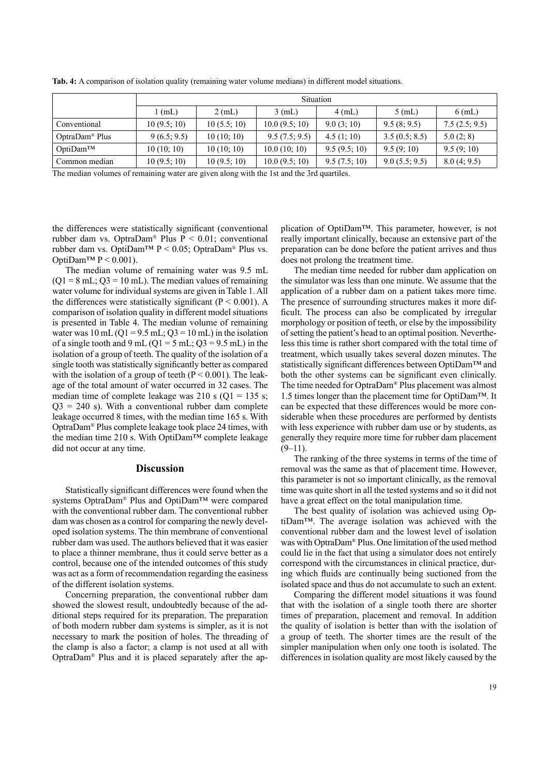|                            | <b>Situation</b> |             |               |              |               |               |  |  |
|----------------------------|------------------|-------------|---------------|--------------|---------------|---------------|--|--|
|                            | (mL)             | $2$ (mL)    | $3$ (mL)      | $4$ (mL)     | $5$ (mL)      | $6$ (mL)      |  |  |
| Conventional               | 10(9.5; 10)      | 10(5.5; 10) | 10.0(9.5; 10) | 9.0(3;10)    | 9.5(8; 9.5)   | 7.5(2.5; 9.5) |  |  |
| OptraDam <sup>®</sup> Plus | 9(6.5; 9.5)      | 10(10; 10)  | 9.5(7.5; 9.5) | 4.5(1;10)    | 3.5(0.5; 8.5) | 5.0(2; 8)     |  |  |
| $Opti$ Dam <sup>TM</sup>   | 10(10; 10)       | 10(10; 10)  | 10.0(10;10)   | 9.5(9.5; 10) | 9.5(9;10)     | 9.5(9;10)     |  |  |
| Common median              | 10(9.5; 10)      | 10(9.5; 10) | 10.0(9.5; 10) | 9.5(7.5;10)  | 9.0(5.5; 9.5) | 8.0(4; 9.5)   |  |  |

**Tab. 4:** A comparison of isolation quality (remaining water volume medians) in different model situations.

The median volumes of remaining water are given along with the 1st and the 3rd quartiles.

the differences were statistically significant (conventional rubber dam vs. Optra $Dam^{\otimes}$  Plus  $P < 0.01$ ; conventional rubber dam vs. OptiDam™ P < 0.05; OptraDam® Plus vs. OptiDam<sup>™</sup>  $P < 0.001$ ).

The median volume of remaining water was 9.5 mL  $(Q1 = 8$  mL;  $Q3 = 10$  mL). The median values of remaining water volume for individual systems are given in Table 1. All the differences were statistically significant ( $P < 0.001$ ). A comparison of isolation quality in different model situations is presented in Table 4. The median volume of remaining water was  $10 \text{ mL} (Q1 = 9.5 \text{ mL}; Q3 = 10 \text{ mL})$  in the isolation of a single tooth and 9 mL (Q1 = 5 mL; Q3 = 9.5 mL) in the isolation of a group of teeth. The quality of the isolation of a single tooth was statistically significantly better as compared with the isolation of a group of teeth  $(P < 0.001)$ . The leakage of the total amount of water occurred in 32 cases. The median time of complete leakage was  $210$  s ( $Q1 = 135$  s;  $Q3 = 240$  s). With a conventional rubber dam complete leakage occurred 8 times, with the median time 165 s. With OptraDam® Plus complete leakage took place 24 times, with the median time 210 s. With OptiDam™ complete leakage did not occur at any time.

# **Discussion**

Statistically significant differences were found when the systems OptraDam® Plus and OptiDam™ were compared with the conventional rubber dam. The conventional rubber dam was chosen as a control for comparing the newly developed isolation systems. The thin membrane of conventional rubber dam was used. The authors believed that it was easier to place a thinner membrane, thus it could serve better as a control, because one of the intended outcomes of this study was act as a form of recommendation regarding the easiness of the different isolation systems.

Concerning preparation, the conventional rubber dam showed the slowest result, undoubtedly because of the additional steps required for its preparation. The preparation of both modern rubber dam systems is simpler, as it is not necessary to mark the position of holes. The threading of the clamp is also a factor; a clamp is not used at all with OptraDam® Plus and it is placed separately after the application of OptiDam™. This parameter, however, is not really important clinically, because an extensive part of the preparation can be done before the patient arrives and thus does not prolong the treatment time.

The median time needed for rubber dam application on the simulator was less than one minute. We assume that the application of a rubber dam on a patient takes more time. The presence of surrounding structures makes it more difficult. The process can also be complicated by irregular morphology or position of teeth, or else by the impossibility of setting the patient's head to an optimal position. Nevertheless this time is rather short compared with the total time of treatment, which usually takes several dozen minutes. The statistically significant differences between OptiDam™ and both the other systems can be significant even clinically. The time needed for OptraDam® Plus placement was almost 1.5 times longer than the placement time for OptiDam™. It can be expected that these differences would be more considerable when these procedures are performed by dentists with less experience with rubber dam use or by students, as generally they require more time for rubber dam placement  $(9-11)$ .

The ranking of the three systems in terms of the time of removal was the same as that of placement time. However, this parameter is not so important clinically, as the removal time was quite short in all the tested systems and so it did not have a great effect on the total manipulation time.

The best quality of isolation was achieved using OptiDam™. The average isolation was achieved with the conventional rubber dam and the lowest level of isolation was with OptraDam® Plus. One limitation of the used method could lie in the fact that using a simulator does not entirely correspond with the circumstances in clinical practice, during which fluids are continually being suctioned from the isolated space and thus do not accumulate to such an extent.

Comparing the different model situations it was found that with the isolation of a single tooth there are shorter times of preparation, placement and removal. In addition the quality of isolation is better than with the isolation of a group of teeth. The shorter times are the result of the simpler manipulation when only one tooth is isolated. The differences in isolation quality are most likely caused by the